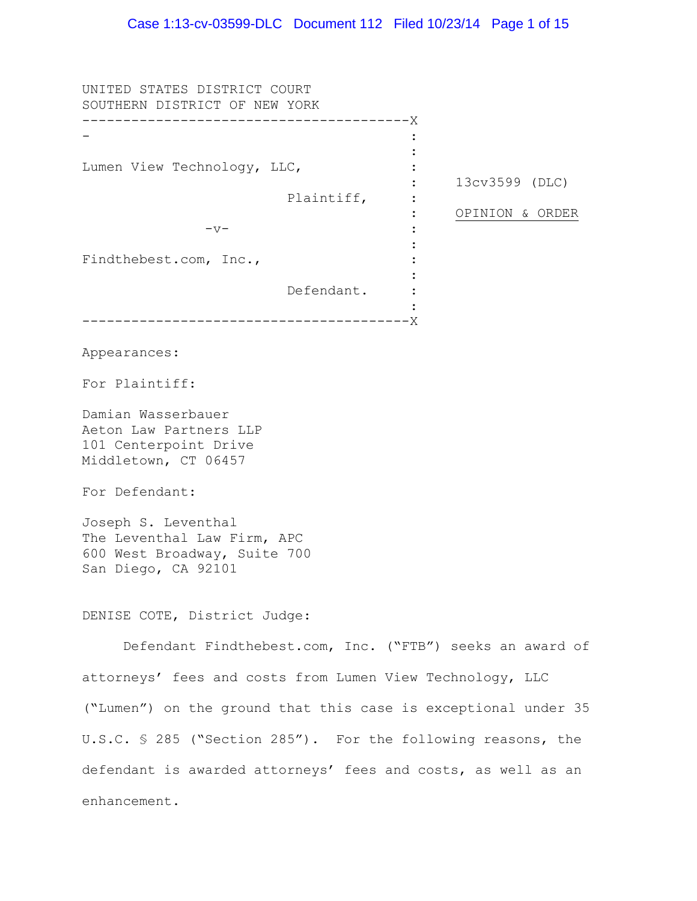UNITED STATES DISTRICT COURT SOUTHERN DISTRICT OF NEW YORK ---------------------------------------- X - Lumen View Technology, LLC, Plaintiff,  $-v-$ Findthebest.com, Inc., Defendant. ---------------------------------------- X Appearances: For Plaintiff: Damian Wasserbauer Aeton Law Partners LLP 101 Centerpoint Drive Middletown, CT 06457 For Defendant: Joseph S. Leventhal The Leventhal Law Firm, APC 600 West Broadway, Suite 700 San Diego, CA 92101 : : : : : : : : : : : 11 : 13cv3599 (DLC) OPINION & ORDER DENISE COTE, District Judge: Defendant Findthebest.com, Inc. ("FTB") seeks an award of attorneys' fees and costs from Lumen View Technology, LLC ("Lumen") on the ground that this case is exceptional under 35 U.S.C. § 285 ("Section 285"). For the following reasons, the defendant is awarded attorneys' fees and costs, as well as an enhancement.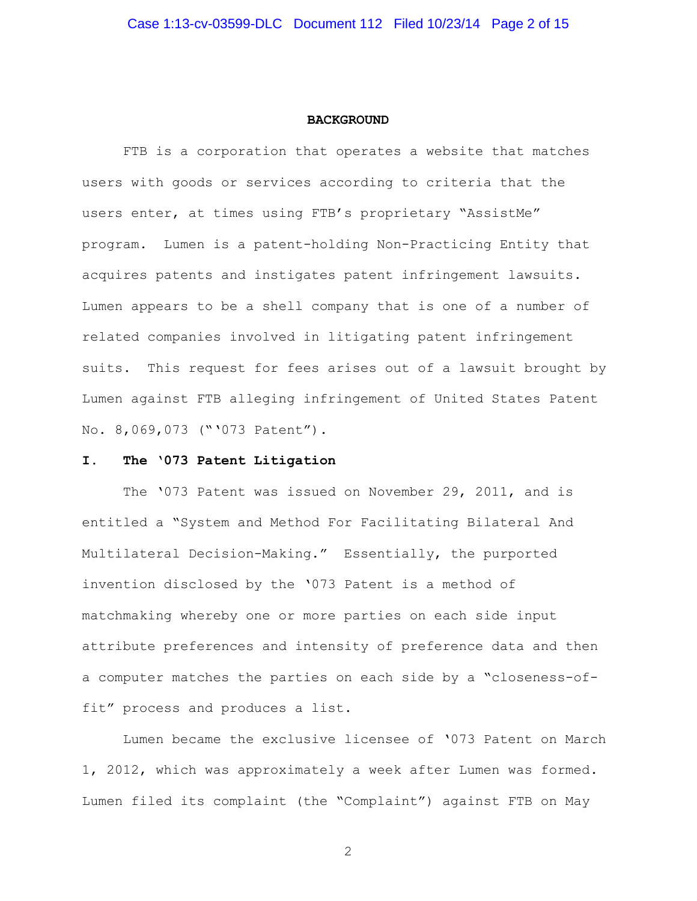#### **BACKGROUND**

FTB is a corporation that operates a website that matches users with goods or services according to criteria that the users enter, at times using FTB's proprietary "AssistMe" program. Lumen is a patent-holding Non-Practicing Entity that acquires patents and instigates patent infringement lawsuits. Lumen appears to be a shell company that is one of a number of related companies involved in litigating patent infringement suits. This request for fees arises out of a lawsuit brought by Lumen against FTB alleging infringement of United States Patent No. 8,069,073 ("'073 Patent").

### **I. The '073 Patent Litigation**

The '073 Patent was issued on November 29, 2011, and is entitled a "System and Method For Facilitating Bilateral And Multilateral Decision-Making." Essentially, the purported invention disclosed by the '073 Patent is a method of matchmaking whereby one or more parties on each side input attribute preferences and intensity of preference data and then a computer matches the parties on each side by a "closeness-offit" process and produces a list.

Lumen became the exclusive licensee of '073 Patent on March 1, 2012, which was approximately a week after Lumen was formed. Lumen filed its complaint (the "Complaint") against FTB on May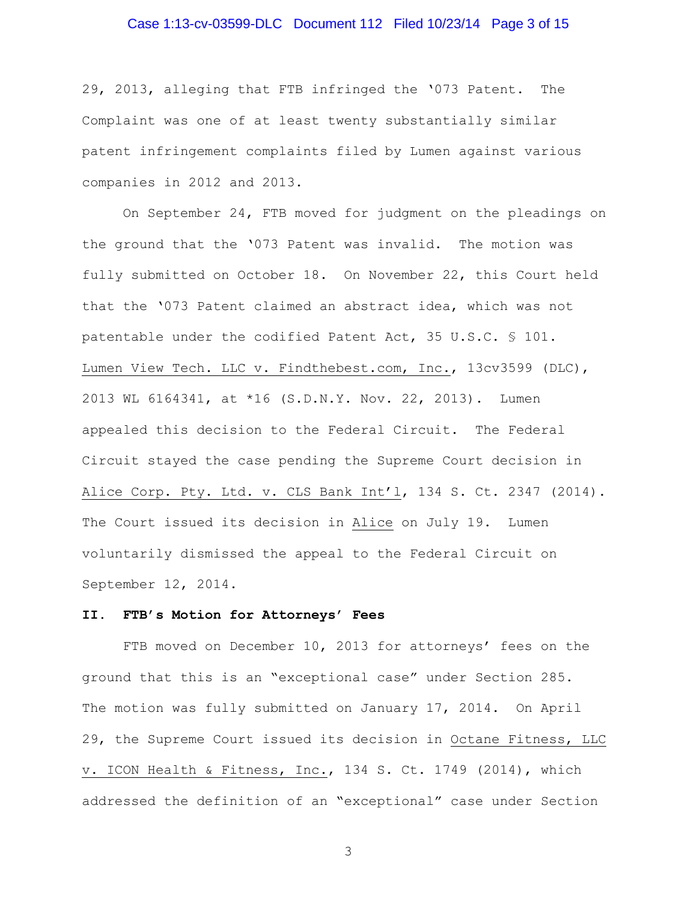## Case 1:13-cv-03599-DLC Document 112 Filed 10/23/14 Page 3 of 15

29, 2013, alleging that FTB infringed the '073 Patent.The Complaint was one of at least twenty substantially similar patent infringement complaints filed by Lumen against various companies in 2012 and 2013.

On September 24, FTB moved for judgment on the pleadings on the ground that the '073 Patent was invalid. The motion was fully submitted on October 18. On November 22, this Court held that the '073 Patent claimed an abstract idea, which was not patentable under the codified Patent Act, 35 U.S.C. § 101. Lumen View Tech. LLC v. Findthebest.com, Inc., 13cv3599 (DLC), 2013 WL 6164341, at \*16 (S.D.N.Y. Nov. 22, 2013). Lumen appealed this decision to the Federal Circuit. The Federal Circuit stayed the case pending the Supreme Court decision in Alice Corp. Pty. Ltd. v. CLS Bank Int'l, 134 S. Ct. 2347 (2014). The Court issued its decision in Alice on July 19. Lumen voluntarily dismissed the appeal to the Federal Circuit on September 12, 2014.

## **II. FTB's Motion for Attorneys' Fees**

FTB moved on December 10, 2013 for attorneys' fees on the ground that this is an "exceptional case" under Section 285. The motion was fully submitted on January 17, 2014. On April 29, the Supreme Court issued its decision in Octane Fitness, LLC v. ICON Health & Fitness, Inc., 134 S. Ct. 1749 (2014), which addressed the definition of an "exceptional" case under Section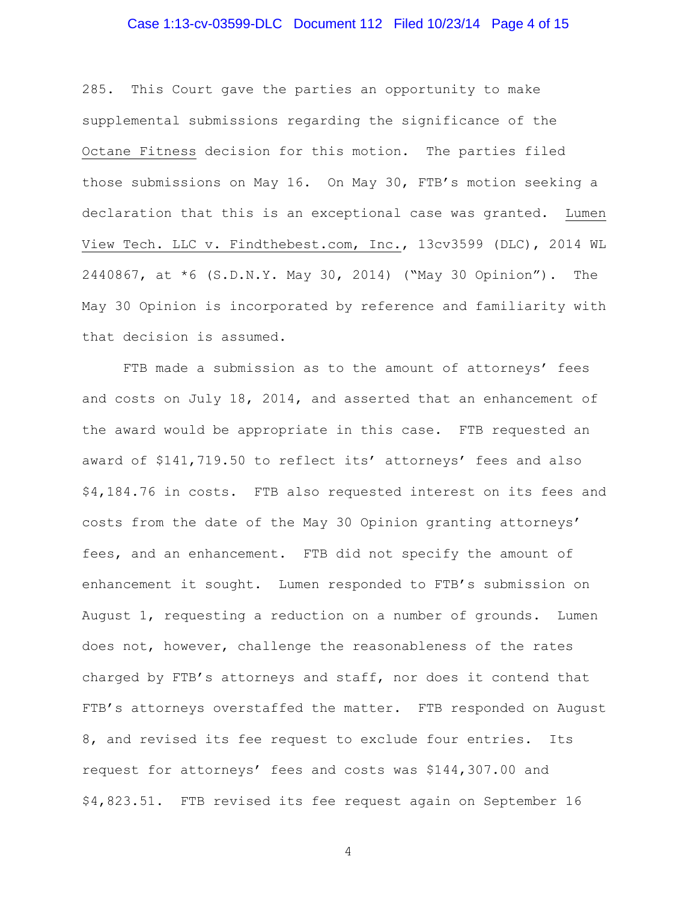# Case 1:13-cv-03599-DLC Document 112 Filed 10/23/14 Page 4 of 15

285. This Court gave the parties an opportunity to make supplemental submissions regarding the significance of the Octane Fitness decision for this motion. The parties filed those submissions on May 16. On May 30, FTB's motion seeking a declaration that this is an exceptional case was granted. Lumen View Tech. LLC v. Findthebest.com, Inc., 13cv3599 (DLC), 2014 WL 2440867, at \*6 (S.D.N.Y. May 30, 2014) ("May 30 Opinion"). The May 30 Opinion is incorporated by reference and familiarity with that decision is assumed.

FTB made a submission as to the amount of attorneys' fees and costs on July 18, 2014, and asserted that an enhancement of the award would be appropriate in this case. FTB requested an award of \$141,719.50 to reflect its' attorneys' fees and also \$4,184.76 in costs. FTB also requested interest on its fees and costs from the date of the May 30 Opinion granting attorneys' fees, and an enhancement. FTB did not specify the amount of enhancement it sought. Lumen responded to FTB's submission on August 1, requesting a reduction on a number of grounds. Lumen does not, however, challenge the reasonableness of the rates charged by FTB's attorneys and staff, nor does it contend that FTB's attorneys overstaffed the matter. FTB responded on August 8, and revised its fee request to exclude four entries. Its request for attorneys' fees and costs was \$144,307.00 and \$4,823.51. FTB revised its fee request again on September 16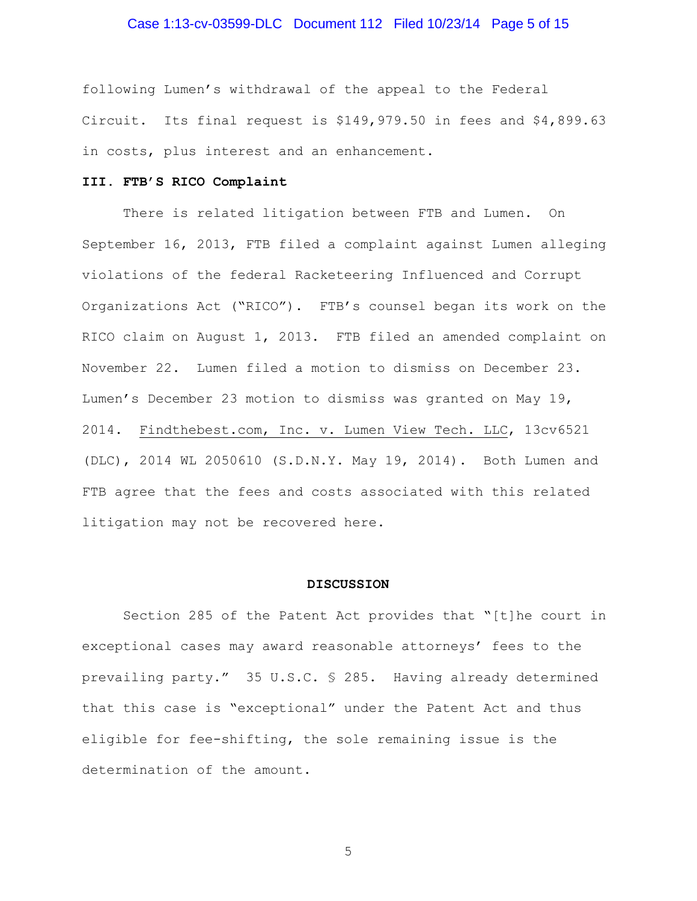# Case 1:13-cv-03599-DLC Document 112 Filed 10/23/14 Page 5 of 15

following Lumen's withdrawal of the appeal to the Federal Circuit. Its final request is \$149,979.50 in fees and \$4,899.63 in costs, plus interest and an enhancement.

## **III. FTB'S RICO Complaint**

There is related litigation between FTB and Lumen. On September 16, 2013, FTB filed a complaint against Lumen alleging violations of the federal Racketeering Influenced and Corrupt Organizations Act ("RICO"). FTB's counsel began its work on the RICO claim on August 1, 2013. FTB filed an amended complaint on November 22. Lumen filed a motion to dismiss on December 23. Lumen's December 23 motion to dismiss was granted on May 19, 2014. Findthebest.com, Inc. v. Lumen View Tech. LLC, 13cv6521 (DLC), 2014 WL 2050610 (S.D.N.Y. May 19, 2014). Both Lumen and FTB agree that the fees and costs associated with this related litigation may not be recovered here.

#### **DISCUSSION**

Section 285 of the Patent Act provides that "[t]he court in exceptional cases may award reasonable attorneys' fees to the prevailing party." 35 U.S.C. § 285. Having already determined that this case is "exceptional" under the Patent Act and thus eligible for fee-shifting, the sole remaining issue is the determination of the amount.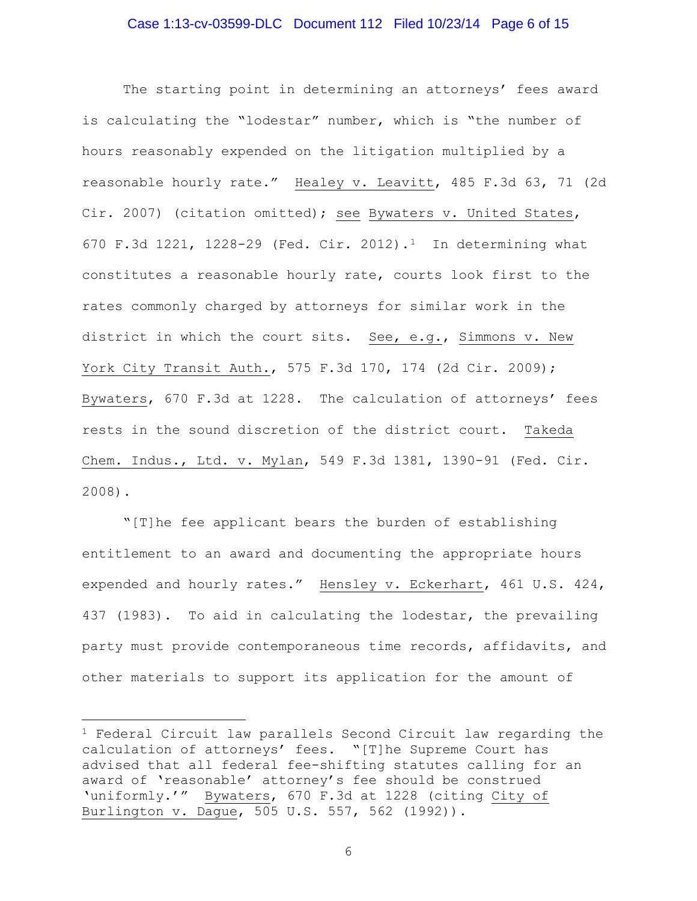## Case 1:13-cv-03599-DLC Document 112 Filed 10/23/14 Page 6 of 15

The starting point in determining an attorneys' fees award is calculating the "lodestar" number, which is "the number of hours reasonably expended on the litigation multiplied by a reasonable hourly rate." Healey v. Leavitt, 485 F.3d 63, 71 (2d Cir. 2007) (citation omitted); see Bywaters v. United States, 670 F.3d 1221, 1228-29 (Fed. Cir. 2012).[1](#page-5-0) In determining what constitutes a reasonable hourly rate, courts look first to the rates commonly charged by attorneys for similar work in the district in which the court sits. See, e.g., Simmons v. New York City Transit Auth., 575 F.3d 170, 174 (2d Cir. 2009); Bywaters, 670 F.3d at 1228. The calculation of attorneys' fees rests in the sound discretion of the district court. Takeda Chem. Indus., Ltd. v. Mylan, 549 F.3d 1381, 1390-91 (Fed. Cir. 2008).

"[T]he fee applicant bears the burden of establishing entitlement to an award and documenting the appropriate hours expended and hourly rates." Hensley v. Eckerhart, 461 U.S. 424, 437 (1983). To aid in calculating the lodestar, the prevailing party must provide contemporaneous time records, affidavits, and other materials to support its application for the amount of

 $\overline{a}$ 

<span id="page-5-0"></span><sup>&</sup>lt;sup>1</sup> Federal Circuit law parallels Second Circuit law regarding the calculation of attorneys' fees. "[T]he Supreme Court has advised that all federal fee-shifting statutes calling for an award of 'reasonable' attorney's fee should be construed 'uniformly.'" Bywaters, 670 F.3d at 1228 (citing City of Burlington v. Dague, 505 U.S. 557, 562 (1992)).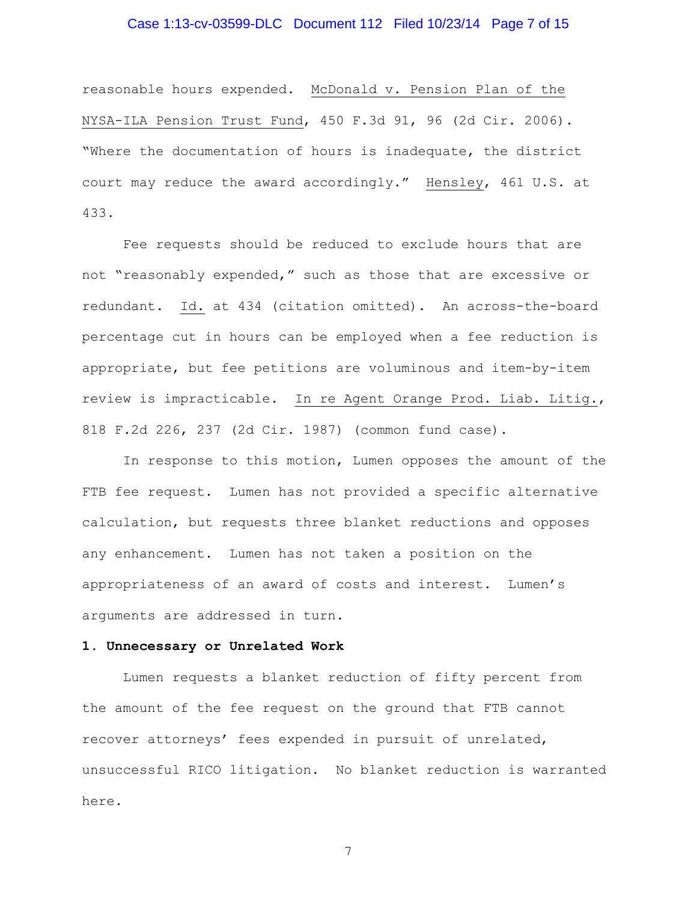# Case 1:13-cv-03599-DLC Document 112 Filed 10/23/14 Page 7 of 15

reasonable hours expended. McDonald v. Pension Plan of the NYSA-ILA Pension Trust Fund, 450 F.3d 91, 96 (2d Cir. 2006). "Where the documentation of hours is inadequate, the district court may reduce the award accordingly." Hensley, 461 U.S. at 433.

Fee requests should be reduced to exclude hours that are not "reasonably expended," such as those that are excessive or redundant. Id. at 434 (citation omitted). An across-the-board percentage cut in hours can be employed when a fee reduction is appropriate, but fee petitions are voluminous and item-by-item review is impracticable. In re Agent Orange Prod. Liab. Litig., 818 F.2d 226, 237 (2d Cir. 1987) (common fund case).

 In response to this motion, Lumen opposes the amount of the FTB fee request. Lumen has not provided a specific alternative calculation, but requests three blanket reductions and opposes any enhancement. Lumen has not taken a position on the appropriateness of an award of costs and interest. Lumen's arguments are addressed in turn.

### **1. Unnecessary or Unrelated Work**

 Lumen requests a blanket reduction of fifty percent from the amount of the fee request on the ground that FTB cannot recover attorneys' fees expended in pursuit of unrelated, unsuccessful RICO litigation.No blanket reduction is warranted here.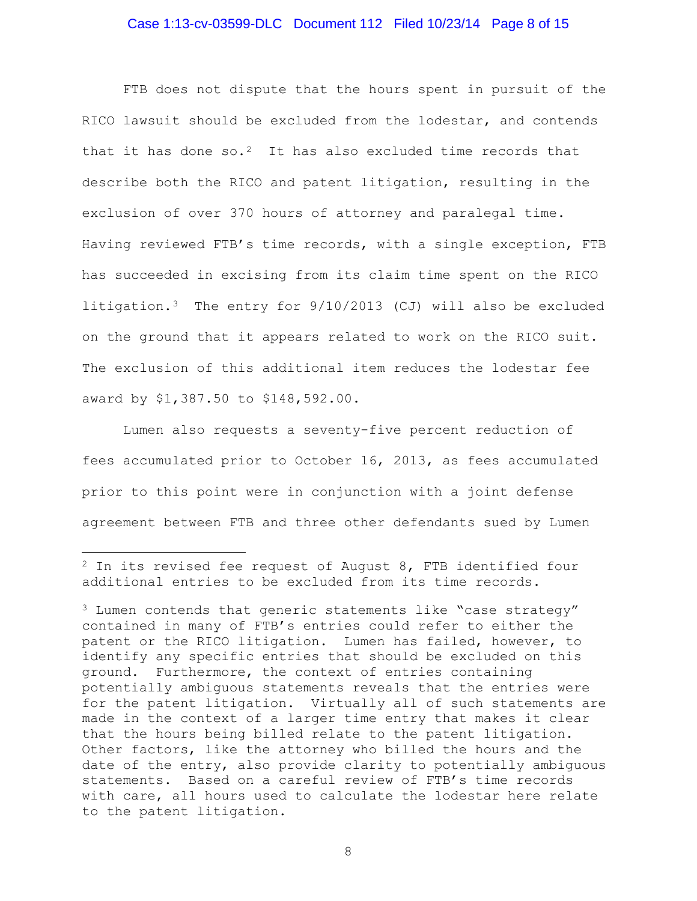## Case 1:13-cv-03599-DLC Document 112 Filed 10/23/14 Page 8 of 15

FTB does not dispute that the hours spent in pursuit of the RICO lawsuit should be excluded from the lodestar, and contends that it has done so.<sup>[2](#page-7-0)</sup> It has also excluded time records that describe both the RICO and patent litigation, resulting in the exclusion of over 370 hours of attorney and paralegal time. Having reviewed FTB's time records, with a single exception, FTB has succeeded in excising from its claim time spent on the RICO litigation.[3](#page-7-1) The entry for 9/10/2013 (CJ) will also be excluded on the ground that it appears related to work on the RICO suit. The exclusion of this additional item reduces the lodestar fee award by \$1,387.50 to \$148,592.00.

 Lumen also requests a seventy-five percent reduction of fees accumulated prior to October 16, 2013, as fees accumulated prior to this point were in conjunction with a joint defense agreement between FTB and three other defendants sued by Lumen

 $\overline{a}$ 

<span id="page-7-0"></span><sup>2</sup> In its revised fee request of August 8, FTB identified four additional entries to be excluded from its time records.

<span id="page-7-1"></span> $3$  Lumen contends that generic statements like "case strategy" contained in many of FTB's entries could refer to either the patent or the RICO litigation. Lumen has failed, however, to identify any specific entries that should be excluded on this ground. Furthermore, the context of entries containing potentially ambiguous statements reveals that the entries were for the patent litigation. Virtually all of such statements are made in the context of a larger time entry that makes it clear that the hours being billed relate to the patent litigation. Other factors, like the attorney who billed the hours and the date of the entry, also provide clarity to potentially ambiguous statements. Based on a careful review of FTB's time records with care, all hours used to calculate the lodestar here relate to the patent litigation.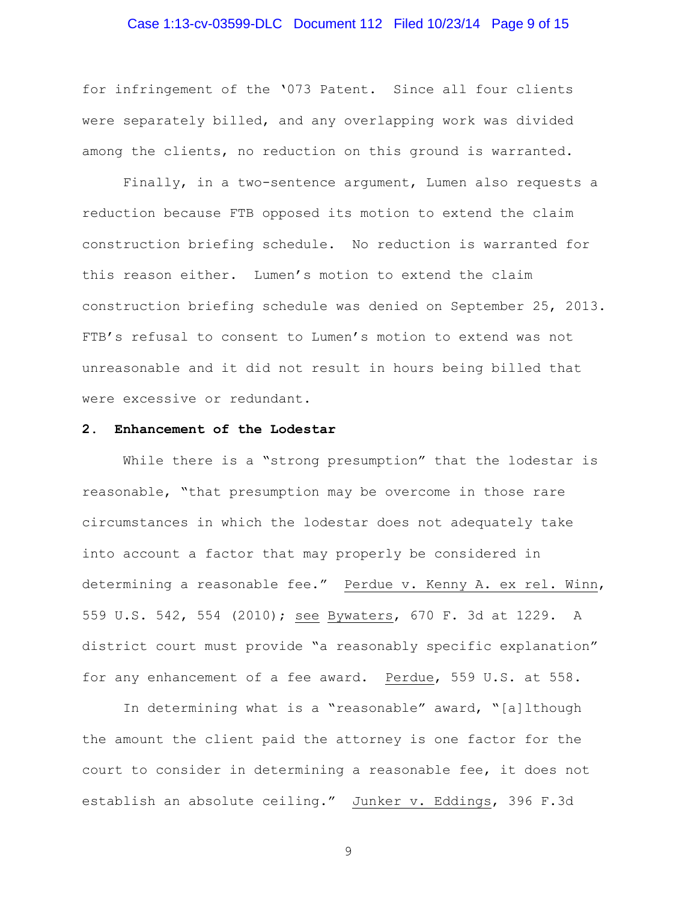## Case 1:13-cv-03599-DLC Document 112 Filed 10/23/14 Page 9 of 15

for infringement of the '073 Patent. Since all four clients were separately billed, and any overlapping work was divided among the clients, no reduction on this ground is warranted.

 Finally, in a two-sentence argument, Lumen also requests a reduction because FTB opposed its motion to extend the claim construction briefing schedule. No reduction is warranted for this reason either. Lumen's motion to extend the claim construction briefing schedule was denied on September 25, 2013. FTB's refusal to consent to Lumen's motion to extend was not unreasonable and it did not result in hours being billed that were excessive or redundant.

### **2. Enhancement of the Lodestar**

While there is a "strong presumption" that the lodestar is reasonable, "that presumption may be overcome in those rare circumstances in which the lodestar does not adequately take into account a factor that may properly be considered in determining a reasonable fee." Perdue v. Kenny A. ex rel. Winn, 559 U.S. 542, 554 (2010); see Bywaters, 670 F. 3d at 1229. A district court must provide "a reasonably specific explanation" for any enhancement of a fee award. Perdue, 559 U.S. at 558.

In determining what is a "reasonable" award, "[a]lthough the amount the client paid the attorney is one factor for the court to consider in determining a reasonable fee, it does not establish an absolute ceiling." Junker v. Eddings, 396 F.3d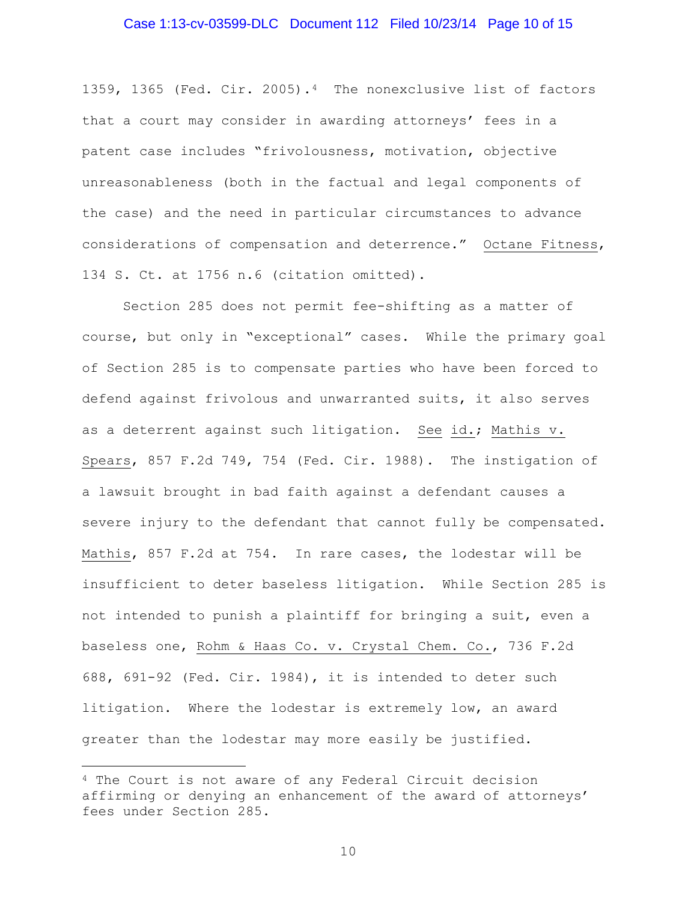## Case 1:13-cv-03599-DLC Document 112 Filed 10/23/14 Page 10 of 15

1359, 1365 (Fed. Cir. 2005).[4](#page-9-0) The nonexclusive list of factors that a court may consider in awarding attorneys' fees in a patent case includes "frivolousness, motivation, objective unreasonableness (both in the factual and legal components of the case) and the need in particular circumstances to advance considerations of compensation and deterrence." Octane Fitness, 134 S. Ct. at 1756 n.6 (citation omitted).

Section 285 does not permit fee-shifting as a matter of course, but only in "exceptional" cases. While the primary goal of Section 285 is to compensate parties who have been forced to defend against frivolous and unwarranted suits, it also serves as a deterrent against such litigation. See id.; Mathis v. Spears, 857 F.2d 749, 754 (Fed. Cir. 1988). The instigation of a lawsuit brought in bad faith against a defendant causes a severe injury to the defendant that cannot fully be compensated. Mathis, 857 F.2d at 754. In rare cases, the lodestar will be insufficient to deter baseless litigation. While Section 285 is not intended to punish a plaintiff for bringing a suit, even a baseless one, Rohm & Haas Co. v. Crystal Chem. Co., 736 F.2d 688, 691-92 (Fed. Cir. 1984), it is intended to deter such litigation. Where the lodestar is extremely low, an award greater than the lodestar may more easily be justified.

 $\overline{a}$ 

<span id="page-9-0"></span><sup>4</sup> The Court is not aware of any Federal Circuit decision affirming or denying an enhancement of the award of attorneys' fees under Section 285.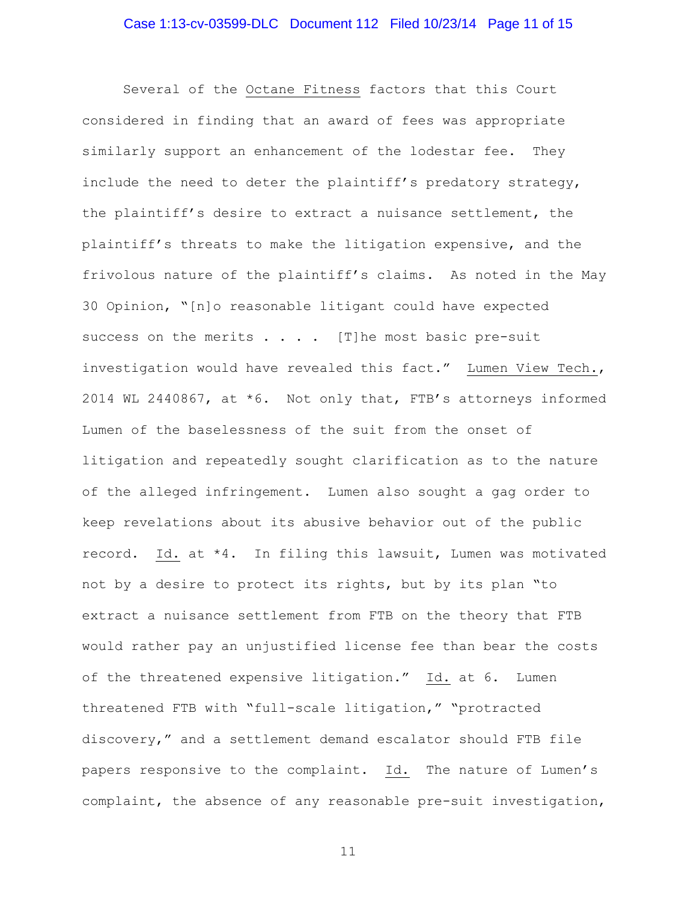Several of the Octane Fitness factors that this Court considered in finding that an award of fees was appropriate similarly support an enhancement of the lodestar fee. They include the need to deter the plaintiff's predatory strategy, the plaintiff's desire to extract a nuisance settlement, the plaintiff's threats to make the litigation expensive, and the frivolous nature of the plaintiff's claims. As noted in the May 30 Opinion, "[n]o reasonable litigant could have expected success on the merits  $\ldots$  . . [T] he most basic pre-suit investigation would have revealed this fact." Lumen View Tech., 2014 WL 2440867, at \*6. Not only that, FTB's attorneys informed Lumen of the baselessness of the suit from the onset of litigation and repeatedly sought clarification as to the nature of the alleged infringement. Lumen also sought a gag order to keep revelations about its abusive behavior out of the public record. Id. at \*4. In filing this lawsuit, Lumen was motivated not by a desire to protect its rights, but by its plan "to extract a nuisance settlement from FTB on the theory that FTB would rather pay an unjustified license fee than bear the costs of the threatened expensive litigation." Id. at 6. Lumen threatened FTB with "full-scale litigation," "protracted discovery," and a settlement demand escalator should FTB file papers responsive to the complaint. Id. The nature of Lumen's complaint, the absence of any reasonable pre-suit investigation,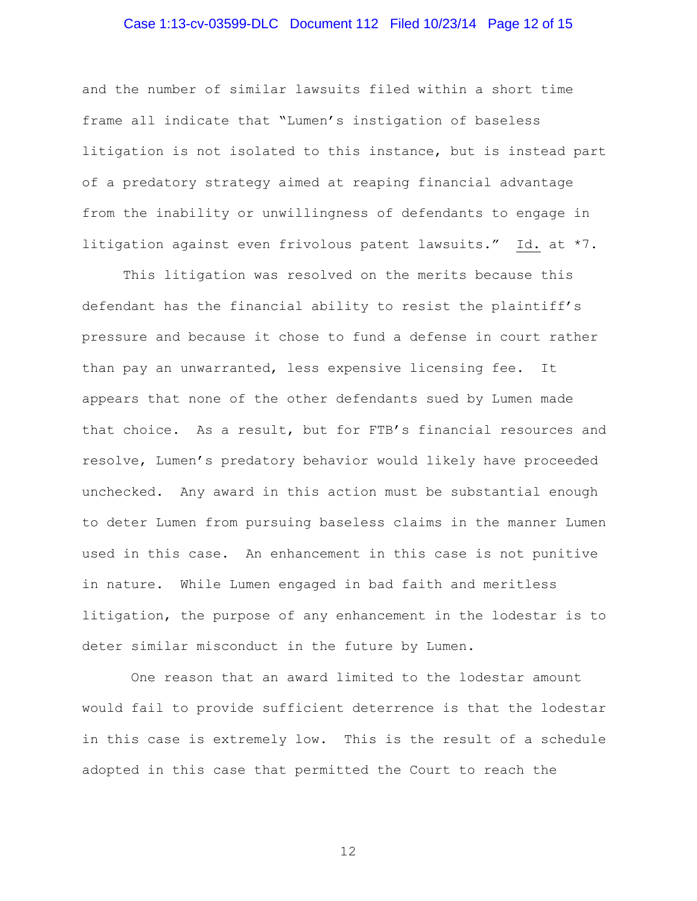## Case 1:13-cv-03599-DLC Document 112 Filed 10/23/14 Page 12 of 15

and the number of similar lawsuits filed within a short time frame all indicate that "Lumen's instigation of baseless litigation is not isolated to this instance, but is instead part of a predatory strategy aimed at reaping financial advantage from the inability or unwillingness of defendants to engage in litigation against even frivolous patent lawsuits." Id. at \*7.

This litigation was resolved on the merits because this defendant has the financial ability to resist the plaintiff's pressure and because it chose to fund a defense in court rather than pay an unwarranted, less expensive licensing fee. It appears that none of the other defendants sued by Lumen made that choice. As a result, but for FTB's financial resources and resolve, Lumen's predatory behavior would likely have proceeded unchecked. Any award in this action must be substantial enough to deter Lumen from pursuing baseless claims in the manner Lumen used in this case. An enhancement in this case is not punitive in nature. While Lumen engaged in bad faith and meritless litigation, the purpose of any enhancement in the lodestar is to deter similar misconduct in the future by Lumen.

 One reason that an award limited to the lodestar amount would fail to provide sufficient deterrence is that the lodestar in this case is extremely low. This is the result of a schedule adopted in this case that permitted the Court to reach the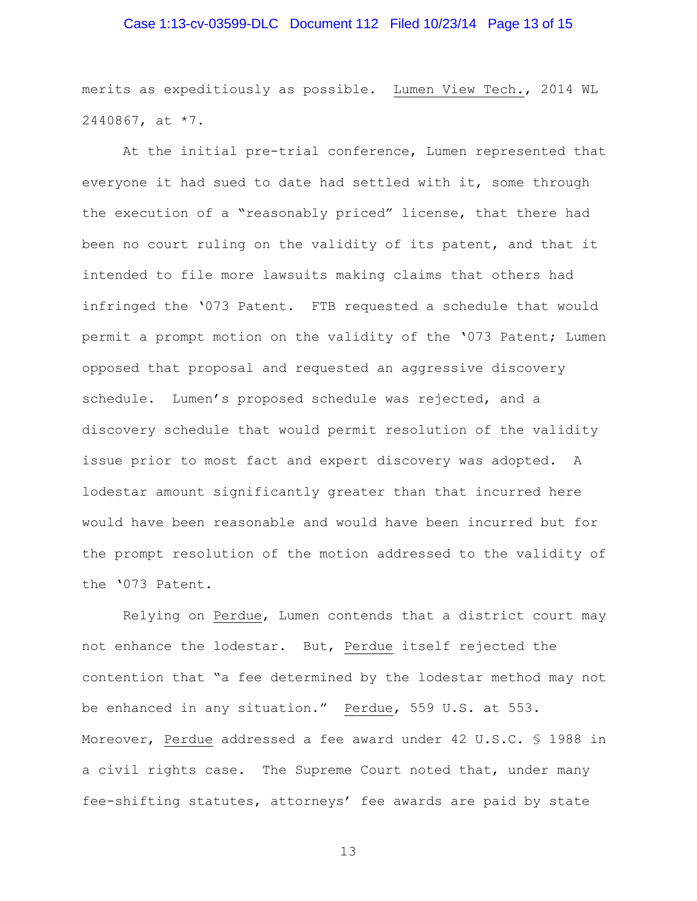## Case 1:13-cv-03599-DLC Document 112 Filed 10/23/14 Page 13 of 15

merits as expeditiously as possible. Lumen View Tech., 2014 WL 2440867, at \*7.

At the initial pre-trial conference, Lumen represented that everyone it had sued to date had settled with it, some through the execution of a "reasonably priced" license, that there had been no court ruling on the validity of its patent, and that it intended to file more lawsuits making claims that others had infringed the '073 Patent. FTB requested a schedule that would permit a prompt motion on the validity of the '073 Patent; Lumen opposed that proposal and requested an aggressive discovery schedule. Lumen's proposed schedule was rejected, and a discovery schedule that would permit resolution of the validity issue prior to most fact and expert discovery was adopted. A lodestar amount significantly greater than that incurred here would have been reasonable and would have been incurred but for the prompt resolution of the motion addressed to the validity of the '073 Patent.

Relying on Perdue, Lumen contends that a district court may not enhance the lodestar. But, Perdue itself rejected the contention that "a fee determined by the lodestar method may not be enhanced in any situation." Perdue, 559 U.S. at 553. Moreover, Perdue addressed a fee award under 42 U.S.C. § 1988 in a civil rights case. The Supreme Court noted that, under many fee-shifting statutes, attorneys' fee awards are paid by state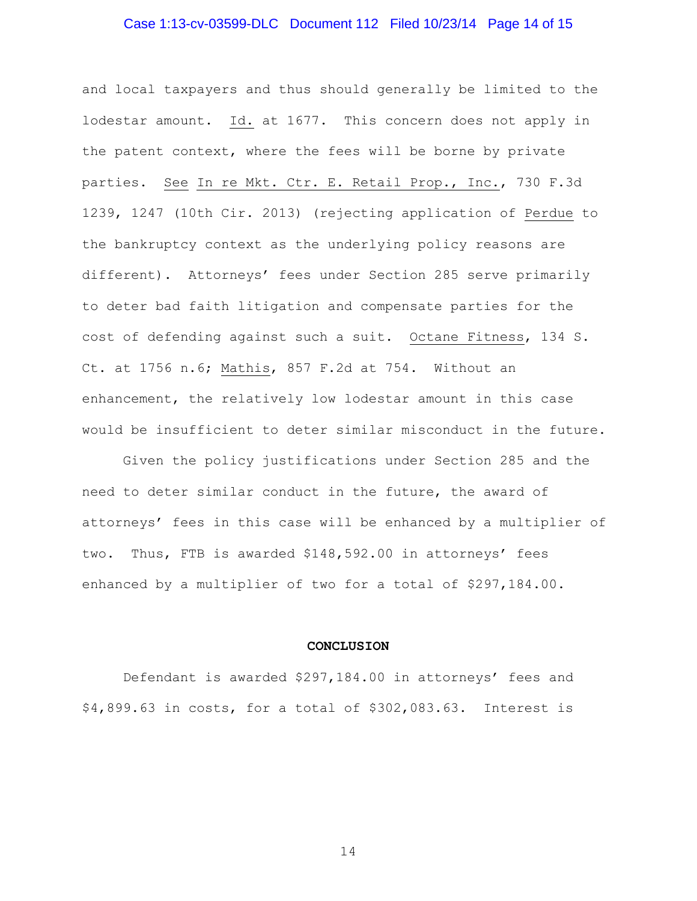## Case 1:13-cv-03599-DLC Document 112 Filed 10/23/14 Page 14 of 15

and local taxpayers and thus should generally be limited to the lodestar amount. Id. at 1677. This concern does not apply in the patent context, where the fees will be borne by private parties. See In re Mkt. Ctr. E. Retail Prop., Inc., 730 F.3d 1239, 1247 (10th Cir. 2013) (rejecting application of Perdue to the bankruptcy context as the underlying policy reasons are different). Attorneys' fees under Section 285 serve primarily to deter bad faith litigation and compensate parties for the cost of defending against such a suit. Octane Fitness, 134 S. Ct. at 1756 n.6; Mathis, 857 F.2d at 754. Without an enhancement, the relatively low lodestar amount in this case would be insufficient to deter similar misconduct in the future.

Given the policy justifications under Section 285 and the need to deter similar conduct in the future, the award of attorneys' fees in this case will be enhanced by a multiplier of two. Thus, FTB is awarded \$148,592.00 in attorneys' fees enhanced by a multiplier of two for a total of \$297,184.00.

#### **CONCLUSION**

Defendant is awarded \$297,184.00 in attorneys' fees and \$4,899.63 in costs, for a total of \$302,083.63. Interest is